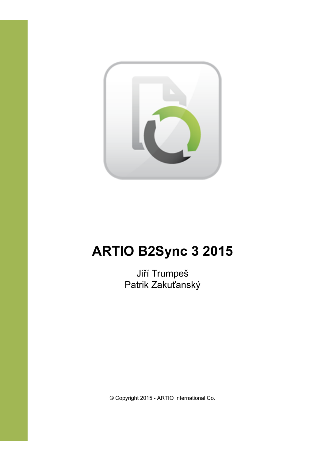

# **ARTIO B2Sync 3 2015**

Jiří Trumpeš Patrik Zakuťanský

© Copyright 2015 - ARTIO International Co.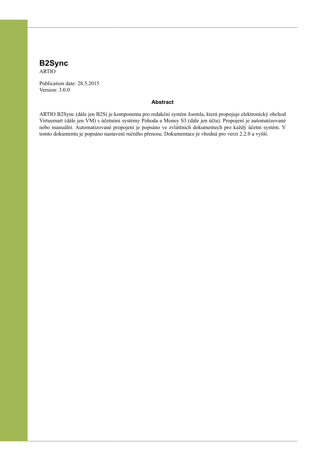#### **B2Sync**

ARTIO

Publication date: 28.5.2015 Version: 3.0.0

#### **Abstract**

ARTIO B2Sync (dále jen B2S) je komponenta pro redakční systém Joomla, která propojuje elektronický obchod Virtuemart (dále jen VM) s účetními systémy Pohoda a Money S3 (dále jen účta). Propojení je automatizované nebo manuální. Automatizované propojení je popsáno ve zvláštních dokumentech pro každý účetní systém. V tomto dokumentu je popsáno nastavení ručního přenosu. Dokumentace je vhodná pro verzi 2.2.0 a vyšší.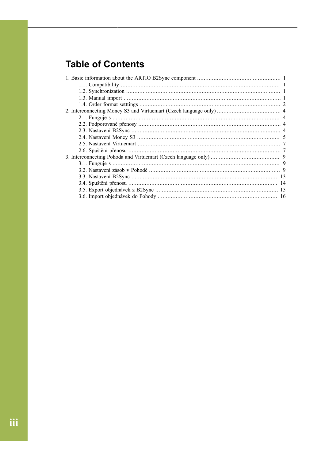## **Table of Contents**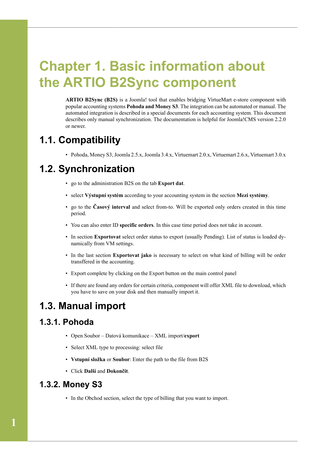# <span id="page-3-0"></span>**Chapter 1. Basic information about the ARTIO B2Sync component**

**ARTIO B2Sync (B2S)** is a Joomla! tool that enables bridging VirtueMart e-store component with popular accounting systems **Pohoda and Money S3**. The integration can be automated or manual. The automated integration is described in a special documents for each accounting system. This document describes only manual synchronization. The documentation is helpful for Joomla!CMS version 2.2.0 or newer.

### <span id="page-3-1"></span>**1.1. Compatibility**

• Pohoda, Money S3, Joomla 2.5.x, Joomla 3.4.x, Virtuemart 2.0.x, Virtuemart 2.6.x, Virtuemart 3.0.x

### <span id="page-3-2"></span>**1.2. Synchronization**

- go to the administration B2S on the tab **Export dat**.
- select **Výstupní systém** according to your accounting system in the section **Mezi systémy**.
- go to the **Časový interval** and select from-to. Will be exported only orders created in this time period.
- You can also enter ID **specific orders**. In this case time period does not take in account.
- In section **Exportovat** select order status to export (usually Pending). List of status is loaded dynamically from VM settings.
- In the last section **Exportovat jako** is necessary to select on what kind of billing will be order transffered in the accounting.
- Export complete by clicking on the Export button on the main control panel
- If there are found any orders for certain criteria, component will offer XML file to download, which you have to save on your disk and then manually import it.

#### <span id="page-3-3"></span>**1.3. Manual import**

#### **1.3.1. Pohoda**

- Open Soubor Datová komunikace XML import/**export**
- Select XML type to processing: select file
- **Vstupní složka** or **Soubor**: Enter the path to the file from B2S
- Click **Další** and **Dokončit**.

#### **1.3.2. Money S3**

• In the Obchod section, select the type of billing that you want to import.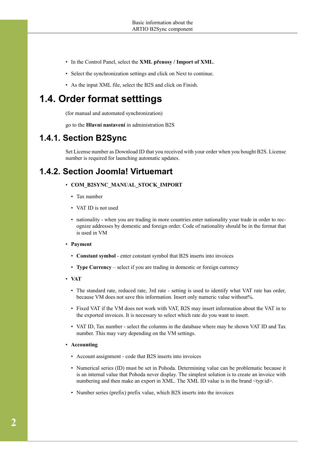- In the Control Panel, select the **XML přenosy / Import of XML**.
- Select the synchronization settings and click on Next to continue.
- As the input XML file, select the B2S and click on Finish.

#### <span id="page-4-0"></span>**1.4. Order format setttings**

(for manual and automated synchronization)

go to the **Hlavní nastavení** in administration B2S

#### **1.4.1. Section B2Sync**

Set License number as Download ID that you received with your order when you bought B2S. License number is required for launching automatic updates.

#### **1.4.2. Section Joomla! Virtuemart**

#### • **COM\_B2SYNC\_MANUAL\_STOCK\_IMPORT**

- Tax number
- VAT ID is not used
- nationality when you are trading in more countries enter nationality your trade in order to recognize addresses by domestic and foreign order. Code of nationality should be in the format that is used in VM
- **Payment**
	- **Constant symbol** enter constant symbol that B2S inserts into invoices
	- **Type Currency** select if you are trading in domestic or foreign currency
- **VAT**
	- The standard rate, reduced rate, 3rd rate setting is used to identify what VAT rate has order, because VM does not save this information. Insert only numeric value without%.
	- Fixed VAT if the VM does not work with VAT, B2S may insert information about the VAT in to the exported invoices. It is necessary to select which rate do you want to insert.
	- VAT ID, Tax number select the columns in the database where may be shown VAT ID and Tax number. This may vary depending on the VM settings.

#### • **Accounting**

- Account assignment code that B2S inserts into invoices
- Numerical series (ID) must be set in Pohoda. Determining value can be problematic because it is an internal value that Pohoda never display. The simplest solution is to create an invoice with numbering and then make an export in XML. The XML ID value is in the brand  $\langle \text{typ:id} \rangle$ .
- Number series (prefix) prefix value, which B2S inserts into the invoices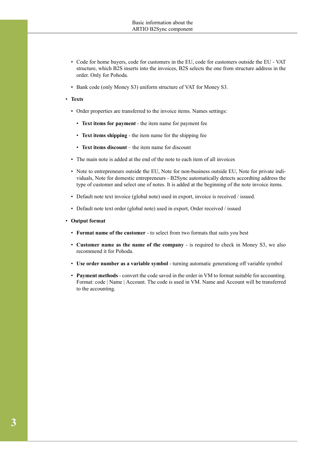- Code for home buyers, code for customers in the EU, code for customers outside the EU VAT structure, which B2S inserts into the invoices, B2S selects the one from structure address in the order. Only for Pohoda.
- Bank code (only Money S3) uniform structure of VAT for Money S3.
- **Texts**
	- Order properties are transferred to the invoice items. Names settings:
		- **Text items for payment**  the item name for payment fee
		- **Text items shipping** the item name for the shipping fee
		- **Text items discount** the item name for discount
	- The main note is added at the end of the note to each item of all invoices
	- Note to entrepreneurs outside the EU, Note for non-business outside EU, Note for private individuals, Note for domestic entrepreneurs - B2Sync automatically detects accordting address the type of customer and select one of notes. It is added at the beginning of the note invoice items.
	- Default note text invoice (global note) used in export, invoice is received / issued.
	- Default note text order (global note) used in export, Order received / issued
- **Output format**
	- **Format name of the customer** to select from two formats that suits you best
	- **Customer name as the name of the company** is required to check in Money S3, we also recommend it for Pohoda.
	- **Use order number as a variable symbol** turning automatic generationg off variable symbol
	- **Payment methods** convert the code saved in the order in VM to format suitable for accounting. Format: code | Name | Account. The code is used in VM. Name and Account will be transferred to the accounting.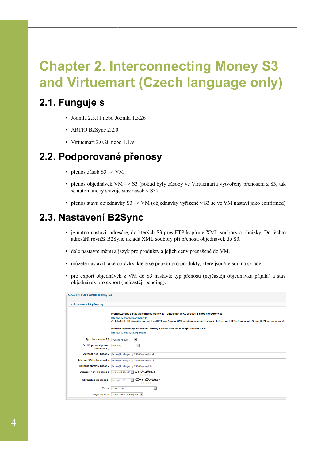# <span id="page-6-0"></span>**Chapter 2. Interconnecting Money S3 and Virtuemart (Czech language only)**

### <span id="page-6-1"></span>**2.1. Funguje s**

- Joomla 2.5.11 nebo Joomla 1.5.26
- ARTIO B2Sync 2.2.0
- Virtuemart 2.0.20 nebo 1.1.9

#### <span id="page-6-2"></span>**2.2. Podporované přenosy**

- přenos zásob S3 –> VM
- přenos objednávek VM –> S3 (pokud byly zásoby ve Virtuemartu vytvořeny přenosem z S3, tak se automaticky snižuje stav zásob v S3)
- přenos stavu objednávky S3 –> VM (objednávky vyřízené v S3 se ve VM nastaví jako confirmed)

#### <span id="page-6-3"></span>**2.3. Nastavení B2Sync**

- je nutno nastavit adresáře, do kterých S3 přes FTP kopíruje XML soubory a obrázky. Do těchto adresářů rovněž B2Sync ukládá XML soubory při přenosu objednávek do S3.
- dále nastavte měnu a jazyk pro produkty a jejich ceny přenášené do VM.
- můžete nastavit také obrázky, které se použijí pro produkty, které jsou/nejsou na skladě.
- pro export objednávek z VM do S3 nastavte typ přenosu (nejčastěji objednávka přijatá) a stav objednávek pro export (nejčastěji pending).

| ▼ Automatické přenosy             |                                                                                                                                                                     |
|-----------------------------------|---------------------------------------------------------------------------------------------------------------------------------------------------------------------|
|                                   | Přenos Zásoby a Stav Objednávky Money S3 - Virtuemart (URL spouští E-shop konektor v S3)                                                                            |
|                                   | http://j2510.jt/b2sync.export.php<br>Za toto URL S3 připojí parametr ExpOPName (název XML souboru s objednávkami uložený na FTP) a ExpZasobyName (XML se zásobami). |
|                                   | Přenos Objednávky Virtuemart - Money S3 (URL spouští E-shop konektor v S3)<br>http://j2510.jt/b2sync.import.php                                                     |
|                                   |                                                                                                                                                                     |
| Typ přenosu do S3                 | $\mathbf{r}$<br>Vydané faktury                                                                                                                                      |
| Do S3 prenést pouze<br>objednávky | Pending                                                                                                                                                             |
| Adresář XML zásoby                | /home/jitr/Projects/J2510/money/local                                                                                                                               |
| Adresář XML objednávky            | /home/iitr/Proiects/J2510/money/local                                                                                                                               |
| Adresář obrázky zásoby            | /home/iitr/Projects/J2510/money/obr                                                                                                                                 |
| Obrázek není na skladě            | not available.gif   Not Available<br>*****                                                                                                                          |
| Obrázek je na skladě.             | ¶ On Order<br>on-order.gif<br>*****                                                                                                                                 |
| Měna                              | $\overline{\phantom{a}}$<br>Euro (EUR)                                                                                                                              |
| Jazyk importu                     | English (United Kingdom)                                                                                                                                            |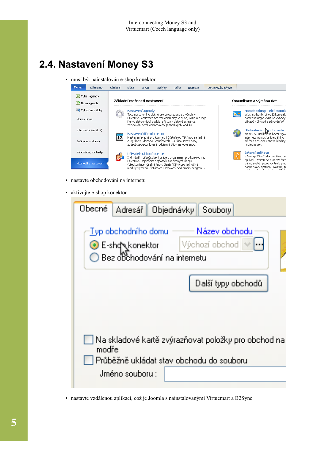# <span id="page-7-0"></span>**2.4. Nastavení Money S3**

• musí být nainstalován e-shop konektor



- nastavte obchodování na internetu
- aktivujte e-shop konektor

| <b>Obecné</b> | <b>Adresář</b>      | Objednávky Soubory                                         |                                 |                                                     |
|---------------|---------------------|------------------------------------------------------------|---------------------------------|-----------------------------------------------------|
|               | Typ obchodního domu | ie E-shq konektor Výchoz<br>O Bez obchodování na internetu | Název obchodu<br>Wýchozí obchod |                                                     |
|               |                     |                                                            | Další typy obchodů              |                                                     |
|               |                     |                                                            |                                 |                                                     |
| modře         |                     |                                                            |                                 | Na skladové kartě zvýrazňovat položky pro obchod na |
|               | Jméno souboru :     | Průběžně ukládat stav obchodu do souboru                   |                                 |                                                     |
|               |                     |                                                            |                                 |                                                     |

• nastavte vzdálenou aplikaci, což je Joomla s nainstalovanými Virtuemart a B2Sync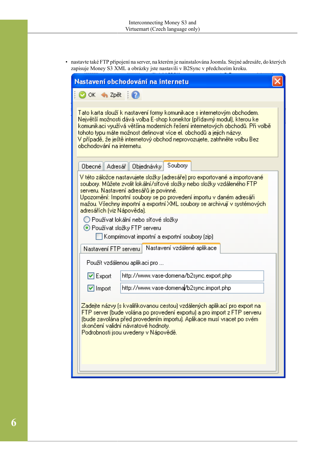• nastavte také FTP připojení na server, na kterém je nainstalována Joomla. Stejné adresáře, do kterých zapisuje Money S3 XML a obrázky jste nastavili v B2Sync v předchozím kroku.

|                                                     | Nastavení obchodování na internetu                                                                                                                                                                                                                                                                                                                                                                                                                                                                                   |  |
|-----------------------------------------------------|----------------------------------------------------------------------------------------------------------------------------------------------------------------------------------------------------------------------------------------------------------------------------------------------------------------------------------------------------------------------------------------------------------------------------------------------------------------------------------------------------------------------|--|
| ⊘oκ<br>$\bigoplus$ Zpět $\bigoplus$                 |                                                                                                                                                                                                                                                                                                                                                                                                                                                                                                                      |  |
| obchodování na internetu.                           | Tato karta slouží k nastavení formy komunikace s internetovým obchodem.<br>Největší možnosti dává volba E-shop konektor (přídavný modul), kterou ke<br>komunikaci využívá většina moderních řešení internetových obchodů. Při volbě<br>tohoto typu máte možnost definovat více el, obchodů a jejich názvy.<br>V případě, že ještě internetový obchod neprovozujete, zatrhněte volbu Bez                                                                                                                              |  |
| Obecné<br>Adresář                                   | Soubory<br>Objednávky                                                                                                                                                                                                                                                                                                                                                                                                                                                                                                |  |
| adresářích (viz Nápověda).<br>Nastavení FTP serveru | V této záložce nastavujete složky (adresáře) pro exportované a importované.<br>soubory. Můžete zvolit lokální/síťové složky nebo složky vzdáleného FTP.<br>serveru. Nastavení adresářů je povinné.<br>Upozornění: Importní soubory se po provedení importu v daném adresáři<br>mažou. Všechny importní a exportní XML soubory se archivují v systémových.<br>◯ Používat lokální nebo síťové složky<br>⊙ Používat složky FTP serveru<br>Komprimovat importní a exportní soubory (zip)<br>Nastavení vzdálené aplikace. |  |
|                                                     | Použít vzdálenou aplikaci pro                                                                                                                                                                                                                                                                                                                                                                                                                                                                                        |  |
| $\triangleright$ Export                             | http://www.vase-domena/b2sync.export.php                                                                                                                                                                                                                                                                                                                                                                                                                                                                             |  |
| $\boxed{\checkmark}$ Import                         | http://www.vase-domena <mark>/b2sync.import.php</mark>                                                                                                                                                                                                                                                                                                                                                                                                                                                               |  |
|                                                     | Zadejte názvy (s kvalifikovanou cestou) vzdálených aplikací pro export na<br>FTP server (bude volána po provedení exportu) a pro import z FTP serveru.<br>(bude zavolána před provedením importu). Aplikace musí vracet po svém<br>skončení validní návratové hodnoty.<br>Podrobnosti jsou uvedeny v Nápovědě.                                                                                                                                                                                                       |  |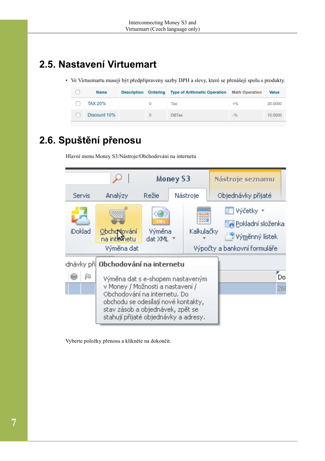# <span id="page-9-0"></span>**2.5. Nastavení Virtuemart**

• Ve Virtuemartu musejí být předpřipraveny sazby DPH a slevy, které se přenášejí spolu s produkty.

| <b>Name</b>    |  | Description Ordering Type of Arithmetic Operation Math Operation |       | <b>Value</b> |
|----------------|--|------------------------------------------------------------------|-------|--------------|
| <b>TAX 20%</b> |  | Tax                                                              | $+$ % | 20,0000      |
| Discount 10%   |  | <b>DBTax</b>                                                     | $-$ % | 10,0000      |

# <span id="page-9-1"></span>**2.6. Spuštění přenosu**

Hlavní menu Money S3/Nástroje/Obchodování na internetu



Vyberte položky přenosu a klikněte na dokončit.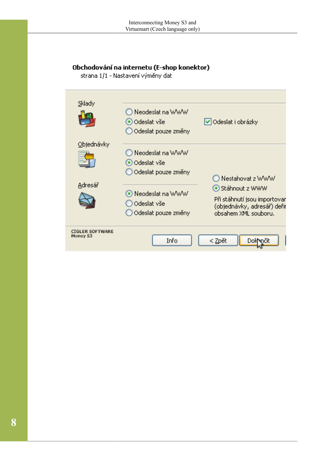#### Obchodování na internetu (E-shop konektor)

strana 1/1 - Nastavení výměny dat

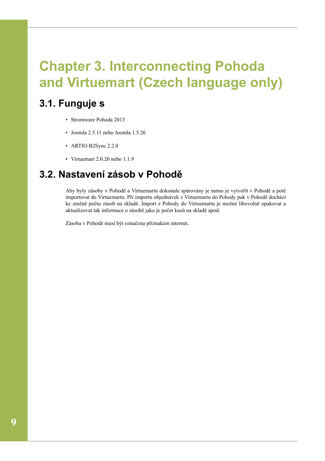# <span id="page-11-0"></span>**Chapter 3. Interconnecting Pohoda and Virtuemart (Czech language only)**

## <span id="page-11-1"></span>**3.1. Funguje s**

- Stromware Pohoda 2013
- Joomla 2.5.11 nebo Joomla 1.5.26
- ARTIO B2Sync 2.2.0
- Virtuemart 2.0.20 nebo 1.1.9

### <span id="page-11-2"></span>**3.2. Nastavení zásob v Pohodě**

Aby byly zásoby v Pohodě a Virtuemartu dokonale spárovány je nutno je vytvořit v Pohodě a poté importovat do Virtuemartu. Při importu objednávek z Virtuemartu do Pohody pak v Pohodě dochází ke změně počtu zásob na skladě. Import z Pohody do Virtuemartu je možné libovolně opakovat a aktualizovat tak informace o zásobě jako je počet kusů na skladě apod.

Zásoba v Pohodě musí být označena příznakem internet.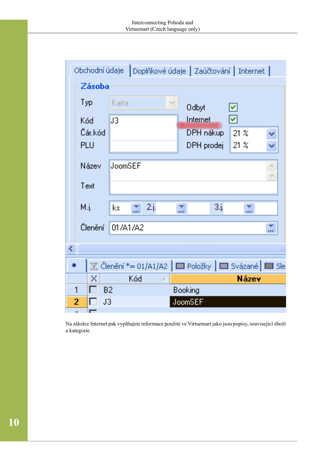|   |      |              | Obchodní údaje                                                                                                                     |              | Doplňkové údaje   Zaúčtování   Internet |                      |              |                |
|---|------|--------------|------------------------------------------------------------------------------------------------------------------------------------|--------------|-----------------------------------------|----------------------|--------------|----------------|
|   |      | Zásoba       |                                                                                                                                    |              |                                         |                      |              |                |
|   | Typ  |              | Karta                                                                                                                              | w            | <b>Odbyt</b>                            | ☑                    |              |                |
|   | Kód  |              | U3                                                                                                                                 |              | Internet                                | $\blacktriangledown$ |              |                |
|   |      | Čár, kód     |                                                                                                                                    |              | DPH nákup                               | $21 \times$          |              |                |
|   | PLU  |              |                                                                                                                                    |              | DPH prodej                              | 21.3                 |              |                |
|   |      | Název        | <b>JoomSEF</b>                                                                                                                     |              |                                         |                      |              | alia.<br>NF.   |
|   | Text |              |                                                                                                                                    |              |                                         |                      |              |                |
|   | M.j. |              | W<br>$\mathsf{k}\mathsf{s}$                                                                                                        | 2.j.         | w<br><b>DOM:</b>                        | 3j                   | w<br>医皮肤     |                |
|   |      | Členění      | 01/A1/A2                                                                                                                           |              |                                         |                      |              | a a m          |
| ∢ |      |              |                                                                                                                                    |              |                                         |                      |              | $\mathbf{III}$ |
|   | 米    |              | $\mathbb{F}_{\mathbb{Z}}$ Členění *= 01/A1/A2 $\mathbb{F}$ Položky $\mathbb{F}$ $\mathbb{F}$ Svázané $\mathbb{F}$ $\mathbb{F}$ Sle |              |                                         |                      |              |                |
|   |      | $\mathbf{x}$ | Kód                                                                                                                                | $\chi^{\mu}$ |                                         |                      | <b>Název</b> |                |
|   | 1    |              | B <sub>2</sub>                                                                                                                     |              | Booking                                 |                      |              |                |
|   | 2    |              | J3                                                                                                                                 |              | JoomSEF                                 |                      |              |                |

Na záložce Internet pak vyplňujete informace použité ve Virtuemart jako jsou popisy, související zboží a kategorie.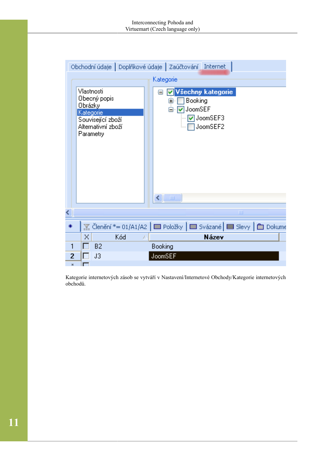|   |                                    |                                                                      |   | Obchodní údaje   Doplňkové údaje   Zaúčtování   Internet                                                                      |
|---|------------------------------------|----------------------------------------------------------------------|---|-------------------------------------------------------------------------------------------------------------------------------|
|   |                                    |                                                                      |   | Kategorie                                                                                                                     |
|   | Vlastnosti<br>Obrázky<br>Kategorie | Obecný popis<br>Související zboží<br>Alternativní zboží<br>Parametry |   | Všechny kategorie<br>⊟<br>M<br>Booking<br>⊟<br>JoomSEF<br>Ė⊹⊽<br><b>▽</b> JoomSEF3<br>JoomSEF2<br>$\leftarrow$ $\blacksquare$ |
|   |                                    |                                                                      |   | Ш                                                                                                                             |
|   |                                    |                                                                      |   | <u>※</u> Členění *= 01/A1/A2   ■ Položky   ■ Svázané   ■ Slevy   ■ Dokume                                                     |
|   | X                                  | Kód                                                                  | × | Název                                                                                                                         |
| 1 |                                    | <b>B2</b>                                                            |   | Booking                                                                                                                       |
| 2 |                                    | J3                                                                   |   | JoomSEF                                                                                                                       |

Kategorie internetových zásob se vytváří v Nastavení/Internetové Obchody/Kategorie internetových obchodů.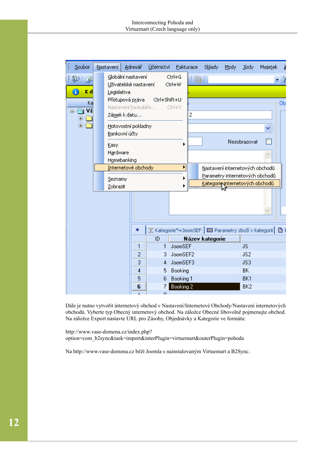| š<br>Soubor              | Nastavení.                                | Adresář                                     | Účetnictví                                                        |                        | Eakturace | <b>Sklady</b>                   | Mzdy | Jízdy.          | Majetek                         | z  |
|--------------------------|-------------------------------------------|---------------------------------------------|-------------------------------------------------------------------|------------------------|-----------|---------------------------------|------|-----------------|---------------------------------|----|
| 的身<br>Đ<br>Kd            | Legislativa                               | Globální nastavení<br>Uživatelské nastavení |                                                                   | Ctrl+G<br>Ctrl+W       | 明         |                                 |      |                 |                                 |    |
| Ka<br>Vš<br>÷<br>Θ<br>O. | Přístupová práva<br>Zá <u>m</u> ek k datu | Nastavení formuláře                         | Ctrl+Shift+U                                                      | Ctrl+Y                 | 2         |                                 |      |                 |                                 | OЬ |
| Ġ                        | Bankovní účty                             | Hotovostní pokladny                         |                                                                   |                        |           |                                 |      |                 | ٧                               |    |
|                          | Kasy                                      |                                             |                                                                   |                        |           |                                 |      | Nezobrazovat    |                                 |    |
|                          | Hardware<br>Homebanking                   |                                             |                                                                   |                        |           |                                 |      |                 | ×.                              |    |
|                          |                                           | Internetové obchody                         |                                                                   | Þ                      |           | Nastavení internetových obchodů |      |                 |                                 |    |
|                          | Seznamy                                   |                                             |                                                                   |                        |           |                                 |      |                 | Parametry internetových obchodů |    |
|                          | Zobrazit                                  |                                             |                                                                   |                        |           | Kategorievinternetových obchodů |      |                 |                                 |    |
|                          |                                           |                                             |                                                                   |                        |           |                                 |      |                 |                                 |    |
|                          |                                           | ₩                                           | <u>▼</u> Kategorie*=JoomSEF   ■ Parametry zboží v kategorii   ■ F |                        |           |                                 |      |                 |                                 |    |
|                          |                                           |                                             | ID                                                                |                        |           | Název kategorie                 |      |                 |                                 |    |
|                          |                                           | 1                                           | $\mathbf{1}$                                                      | <b>JoomSEF</b>         |           |                                 |      | JS.             |                                 |    |
|                          |                                           | 2                                           | 3.                                                                | JoomSEF2               |           |                                 |      | JS2             |                                 |    |
|                          |                                           | 3                                           | 4                                                                 | JoomSEF3               |           |                                 |      | JS3             |                                 |    |
|                          |                                           | 4<br>5                                      | 5<br>6                                                            | Booking                |           |                                 |      | BK.<br>BK1      |                                 |    |
|                          |                                           | 6                                           |                                                                   | Booking 1<br>Booking 2 |           |                                 |      | BK <sub>2</sub> |                                 |    |
|                          |                                           | $\mathbf{x}$                                | O.                                                                |                        |           |                                 |      |                 |                                 |    |

Dále je nutno vytvořit internetový obchod v Nastavení/Internetové Obchody/Nastavení internetových obchodů. Vyberte typ Obecný internetový obchod. Na záložce Obecné libovolně pojmenujte obchod. Na záložce Export nastavte URL pro Zásoby, Objednávky a Kategorie ve formátu:

http://www.vase-domena.cz/index.php? option=com\_b2sync&task=import&interPlugin=virtuemart&outerPlugin=pohoda

Na [http://www.vase-domena.cz](http://www.vase-domena.cz/) běží Joomla s nainstalovaným Virtuemart a B2Sync.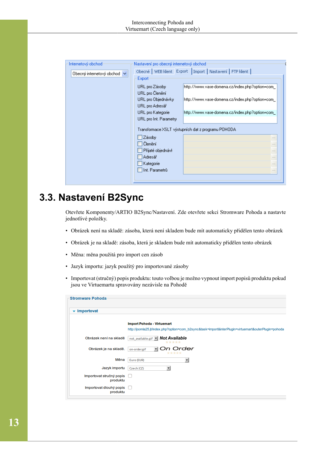| Internetový obchod               | Nastavení pro obecný internetový obchod |                                                     |
|----------------------------------|-----------------------------------------|-----------------------------------------------------|
| Obecný internetový obchod $\vee$ | Obecné WEB klient Export                | Import   Nastavení   FTP klient                     |
|                                  | Export                                  |                                                     |
|                                  | URL pro Zásoby                          | http://www.vase-domena.cz/index.php?option=com_     |
|                                  | URL pro Členění                         |                                                     |
|                                  | URL pro Objednávky                      | http://www.vase-domena.cz/index.php?option=com_     |
|                                  | URL pro Adresář                         |                                                     |
|                                  | URL pro Kategorie                       | http://www.vase-domena.cz/index.php?option=com-     |
|                                  | URL pro Int. Parametry                  |                                                     |
|                                  |                                         | Transformace XSLT výstupních dat z programu POHODA. |
|                                  | Zásoby                                  | $= 0.01$                                            |
|                                  | Členění                                 | $-0.01$                                             |
|                                  | Přijaté objednávl                       | $= 1.14$                                            |
|                                  | Adresář                                 | $-111$                                              |
|                                  | Kategorie                               | $= 0.01$                                            |
|                                  | Int. Parametrů                          | $-0.011$                                            |
|                                  |                                         |                                                     |

## <span id="page-15-0"></span>**3.3. Nastavení B2Sync**

Otevřete Komponenty/ARTIO B2Sync/Nastavení. Zde otevřete sekci Stromware Pohoda a nastavte jednotlivé položky.

- Obrázek není na skladě: zásoba, která není skladem bude mít automaticky přidělen tento obrázek
- Obrázek je na skladě: zásoba, která je skladem bude mít automaticky přidělen tento obrázek
- Měna: měna použitá pro import cen zásob
- Jazyk importu: jazyk použitý pro importované zásoby
- Importovat (stručný) popis produktu: touto volbou je možno vypnout import popisů produktu pokud jsou ve Virtuemartu spravovány nezávisle na Pohodě

| $\blacktriangledown$ Importovat      |                                                                                                      |
|--------------------------------------|------------------------------------------------------------------------------------------------------|
|                                      | <b>Import Pohoda - Virtuemart</b>                                                                    |
|                                      | http://joomla25.jt/index.php?option=com_b2sync&task=import&interPlugin=virtuemart&outerPlugin=pohoda |
| Obrázek není na skladě               | not_available.gif v Not Available<br>*****                                                           |
| Obrázek je na skladě.                | On Order<br>$\mathbf{r}$<br>on-order.gif<br>*****                                                    |
| Měna                                 | $\overline{\phantom{a}}$<br>Euro (EUR)                                                               |
| Jazyk importu                        | Czech (CZ)<br>▼                                                                                      |
| Importovat stručný popis<br>produktu | I.                                                                                                   |
| Importovat dlouhý popis<br>produktu  | $\mathbb{R}^n$                                                                                       |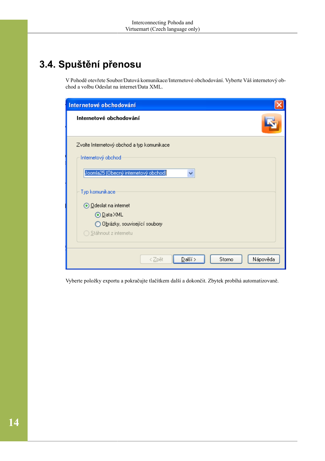# <span id="page-16-0"></span>**3.4. Spuštění přenosu**

V Pohodě otevřete Soubor/Datová komunikace/Internetové obchodování. Vyberte Váš internetový obchod a volbu Odeslat na internet/Data XML.

| Internetové obchodování                    |
|--------------------------------------------|
| Internetové obchodování                    |
| Zvolte Internetový obchod a typ komunikace |
| Internetový obchod                         |
| Joomla25 (Obecný internetový obchod)<br>v  |
| Typ komunikace                             |
| ⊙ <u>O</u> deslat na internet              |
| ⊙ <u>D</u> ata XML                         |
| ◯ Obrázky, související soubory             |
| ◯ Stáhnout z internetu                     |
|                                            |
| $D$ alší ><br>Nápověda<br>Storno<br>< Zpět |

Vyberte položky exportu a pokračujte tlačítkem další a dokončit. Zbytek probíhá automatizovaně.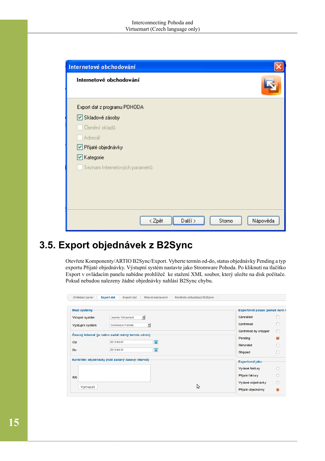| Internetové obchodování<br>Internetové obchodování |        |         |        |          |
|----------------------------------------------------|--------|---------|--------|----------|
| Export dat z programu POHODA                       |        |         |        |          |
| Skladové zásoby                                    |        |         |        |          |
| Členění skladů                                     |        |         |        |          |
| Adresář                                            |        |         |        |          |
| Přijaté objednávky                                 |        |         |        |          |
| ☑ Kategorie                                        |        |         |        |          |
| Seznam Internetových parametrů                     |        |         |        |          |
|                                                    |        |         |        |          |
|                                                    |        |         |        |          |
|                                                    |        |         |        |          |
|                                                    |        |         |        |          |
|                                                    | < Zpět | Další > | Storno | Nápověda |

## <span id="page-17-0"></span>**3.5. Export objednávek z B2Sync**

Otevřete Komponenty/ARTIO B2Sync/Export. Vyberte termín od-do, status objednávky Pending a typ exportu Přijaté objednávky. Výstupní systém nastavte jako Stromware Pohoda. Po kliknutí na tlačítko Export v ovládacím panelu nabídne prohlížeč ke stažení XML soubor, který uložte na disk počítače. Pokud nebudou nalezeny žádné objednávky nahlásí B2Sync chybu.

| Mezi systémy                                         |                                                    |   | Exportovat pouze (pokud není n |   |
|------------------------------------------------------|----------------------------------------------------|---|--------------------------------|---|
| Vstupní systém                                       | Joomla! Virtuemart<br>▾╎                           |   | Cancelled                      |   |
| Výstupní systém                                      | Stromware Pohoda<br>▼                              |   | Confirmed                      |   |
|                                                      |                                                    |   | Confirmed by shopper           |   |
| Časový interval (je nutno zadat reálný termín od-do) |                                                    |   | Pending                        |   |
| Od                                                   | $\overline{23}$<br>2013-03-01                      |   | Refunded                       |   |
| Do                                                   | $\overline{23}$<br>2013-03-31                      |   | Shipped                        |   |
|                                                      | Konkrétní objednávky (ruší zadaný časový interval) |   | <b>Exportovat jako</b>         |   |
|                                                      |                                                    |   | Vydané faktury                 |   |
| <b>IDs</b>                                           |                                                    |   | Přijaté faktury                |   |
|                                                      |                                                    |   | Vydané objednávky              |   |
| Vymazat                                              |                                                    | ら | Přijaté objednávky             | ⋒ |